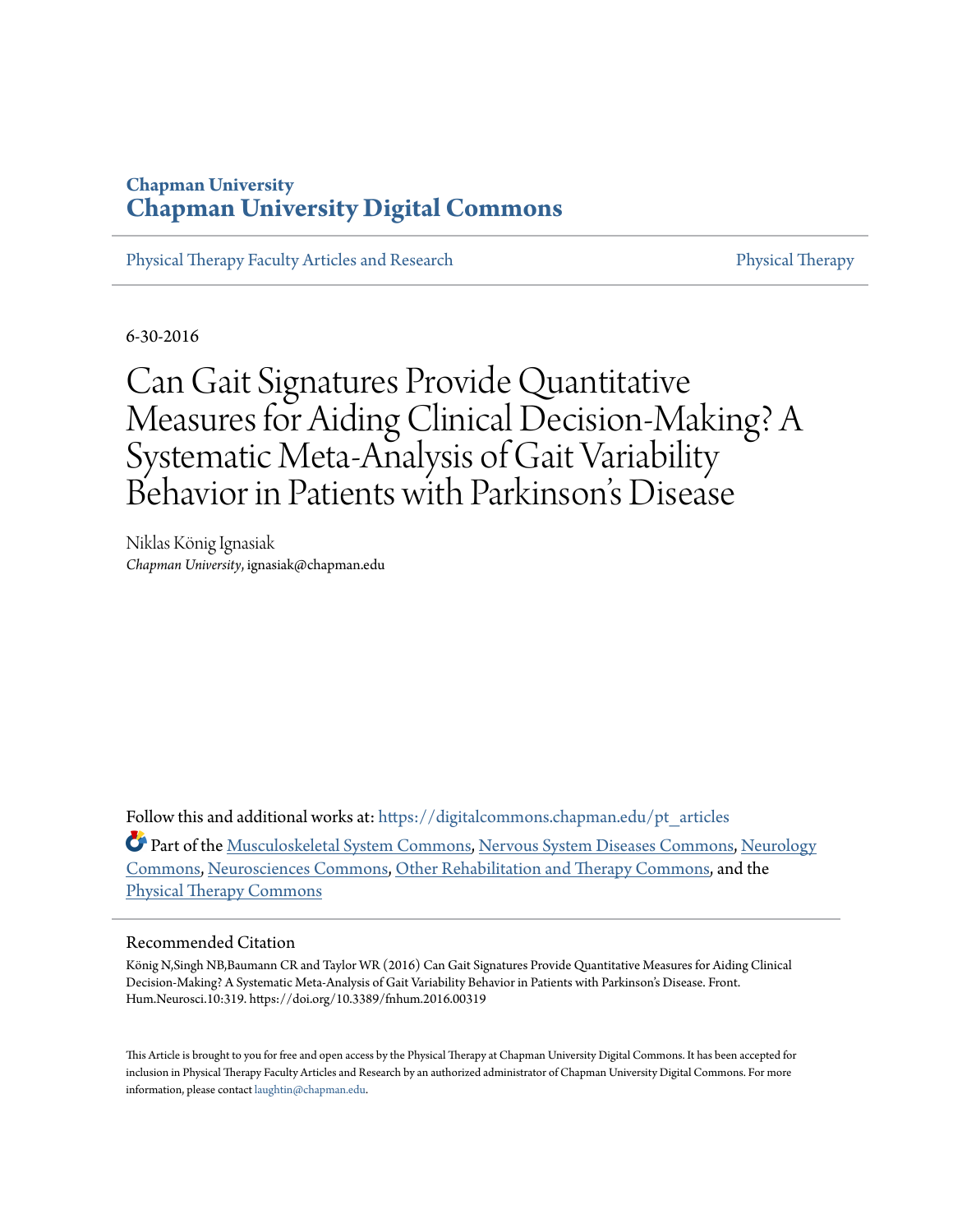## **Chapman University [Chapman University Digital Commons](https://digitalcommons.chapman.edu?utm_source=digitalcommons.chapman.edu%2Fpt_articles%2F112&utm_medium=PDF&utm_campaign=PDFCoverPages)**

[Physical Therapy Faculty Articles and Research](https://digitalcommons.chapman.edu/pt_articles?utm_source=digitalcommons.chapman.edu%2Fpt_articles%2F112&utm_medium=PDF&utm_campaign=PDFCoverPages) **[Physical Therapy](https://digitalcommons.chapman.edu/physicaltherapy?utm_source=digitalcommons.chapman.edu%2Fpt_articles%2F112&utm_medium=PDF&utm_campaign=PDFCoverPages)** Physical Therapy

6-30-2016

# Can Gait Signatures Provide Quantitative Measures for Aiding Clinical Decision-Making? A Systematic Meta-Analysis of Gait Variability Behavior in Patients with Parkinson's Disease

Niklas König Ignasiak *Chapman University*, ignasiak@chapman.edu

Follow this and additional works at: [https://digitalcommons.chapman.edu/pt\\_articles](https://digitalcommons.chapman.edu/pt_articles?utm_source=digitalcommons.chapman.edu%2Fpt_articles%2F112&utm_medium=PDF&utm_campaign=PDFCoverPages)

Part of the [Musculoskeletal System Commons,](http://network.bepress.com/hgg/discipline/938?utm_source=digitalcommons.chapman.edu%2Fpt_articles%2F112&utm_medium=PDF&utm_campaign=PDFCoverPages) [Nervous System Diseases Commons,](http://network.bepress.com/hgg/discipline/928?utm_source=digitalcommons.chapman.edu%2Fpt_articles%2F112&utm_medium=PDF&utm_campaign=PDFCoverPages) [Neurology](http://network.bepress.com/hgg/discipline/692?utm_source=digitalcommons.chapman.edu%2Fpt_articles%2F112&utm_medium=PDF&utm_campaign=PDFCoverPages) [Commons,](http://network.bepress.com/hgg/discipline/692?utm_source=digitalcommons.chapman.edu%2Fpt_articles%2F112&utm_medium=PDF&utm_campaign=PDFCoverPages) [Neurosciences Commons](http://network.bepress.com/hgg/discipline/1010?utm_source=digitalcommons.chapman.edu%2Fpt_articles%2F112&utm_medium=PDF&utm_campaign=PDFCoverPages), [Other Rehabilitation and Therapy Commons](http://network.bepress.com/hgg/discipline/758?utm_source=digitalcommons.chapman.edu%2Fpt_articles%2F112&utm_medium=PDF&utm_campaign=PDFCoverPages), and the [Physical Therapy Commons](http://network.bepress.com/hgg/discipline/754?utm_source=digitalcommons.chapman.edu%2Fpt_articles%2F112&utm_medium=PDF&utm_campaign=PDFCoverPages)

#### Recommended Citation

König N,Singh NB,Baumann CR and Taylor WR (2016) Can Gait Signatures Provide Quantitative Measures for Aiding Clinical Decision-Making? A Systematic Meta-Analysis of Gait Variability Behavior in Patients with Parkinson's Disease. Front. Hum.Neurosci.10:319. https://doi.org/10.3389/fnhum.2016.00319

This Article is brought to you for free and open access by the Physical Therapy at Chapman University Digital Commons. It has been accepted for inclusion in Physical Therapy Faculty Articles and Research by an authorized administrator of Chapman University Digital Commons. For more information, please contact [laughtin@chapman.edu](mailto:laughtin@chapman.edu).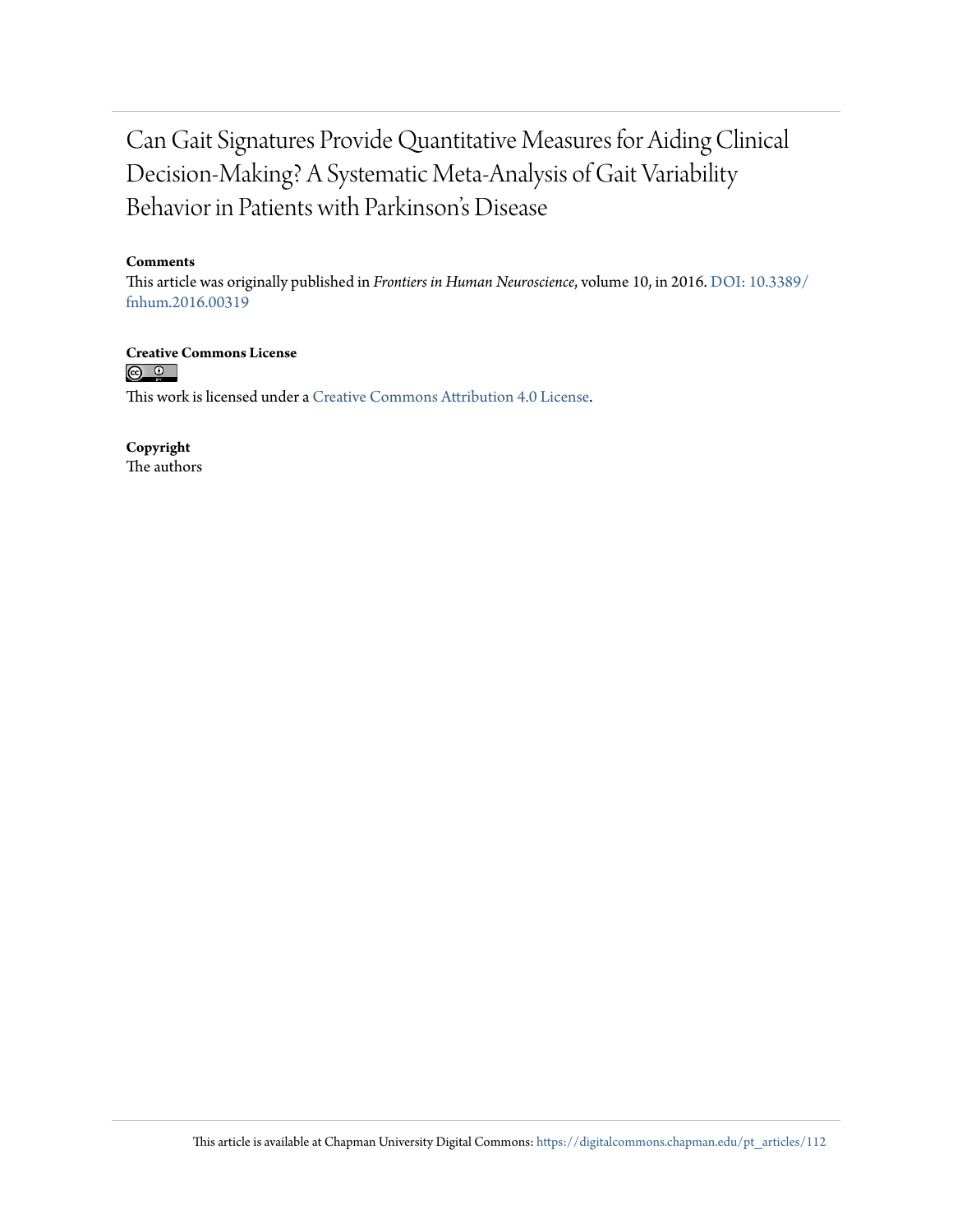## Can Gait Signatures Provide Quantitative Measures for Aiding Clinical Decision-Making? A Systematic Meta-Analysis of Gait Variability Behavior in Patients with Parkinson's Disease

#### **Comments**

This article was originally published in *Frontiers in Human Neuroscience*, volume 10, in 2016. [DOI: 10.3389/](https://doi.org/10.3389/fnhum.2016.00319) [fnhum.2016.00319](https://doi.org/10.3389/fnhum.2016.00319)

**Creative Commons License**

 $\odot$   $\odot$   $\odot$ 

This work is licensed under a [Creative Commons Attribution 4.0 License.](https://creativecommons.org/licenses/by/4.0/)

**Copyright** The authors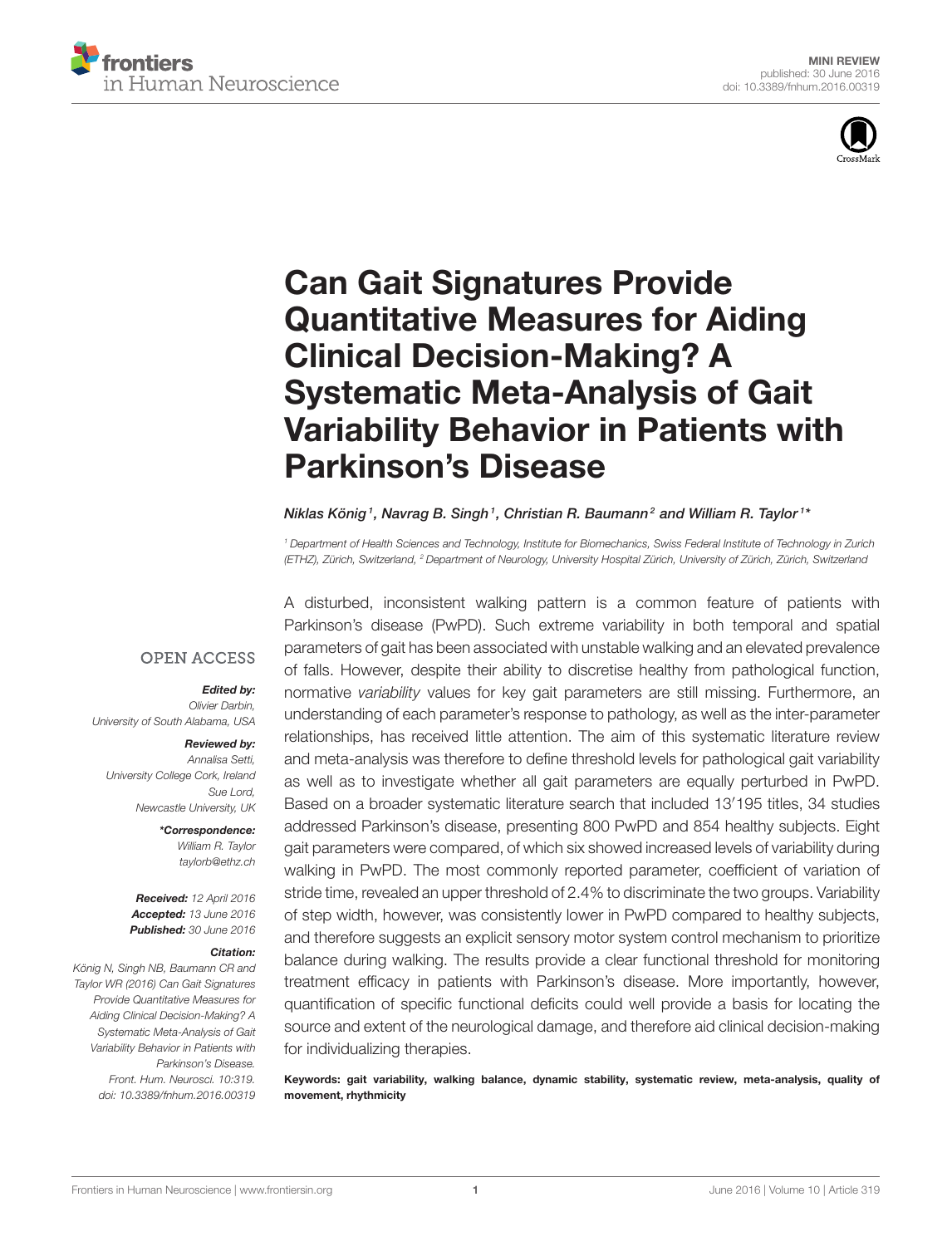



# Can Gait Signatures Provide Quantitative Measures for Aiding Clinical Decision-Making? A Systematic Meta-Analysis of Gait [Variability Behavior in Patients with](http://journal.frontiersin.org/article/10.3389/fnhum.2016.00319/abstract) Parkinson's Disease

#### [Niklas König](http://loop.frontiersin.org/people/288983/overview)1, [Navrag B. Singh](http://loop.frontiersin.org/people/350976/overview)1, Christian R. Baumann<sup>2</sup> and [William R. Taylor](http://loop.frontiersin.org/people/349610/overview)1\*

<sup>1</sup> Department of Health Sciences and Technology, Institute for Biomechanics, Swiss Federal Institute of Technology in Zurich (ETHZ), Zürich, Switzerland, <sup>2</sup> Department of Neurology, University Hospital Zürich, University of Zürich, Zürich, Switzerland

**OPEN ACCESS** 

#### Edited by:

Olivier Darbin, University of South Alabama, USA

#### Reviewed by:

Annalisa Setti, University College Cork, Ireland Sue Lord, Newcastle University, UK

> \*Correspondence: William R. Taylor [taylorb@ethz.ch](mailto:taylorb@ethz.ch)

Received: 12 April 2016 Accepted: 13 June 2016 Published: 30 June 2016

#### Citation:

König N, Singh NB, Baumann CR and Taylor WR (2016) Can Gait Signatures Provide Quantitative Measures for Aiding Clinical Decision-Making? A Systematic Meta-Analysis of Gait Variability Behavior in Patients with Parkinson's Disease. Front. Hum. Neurosci. 10:319. doi: [10.3389/fnhum.2016.00319](http://dx.doi.org/10.3389/fnhum.2016.00319)

A disturbed, inconsistent walking pattern is a common feature of patients with Parkinson's disease (PwPD). Such extreme variability in both temporal and spatial parameters of gait has been associated with unstable walking and an elevated prevalence of falls. However, despite their ability to discretise healthy from pathological function, normative variability values for key gait parameters are still missing. Furthermore, an understanding of each parameter's response to pathology, as well as the inter-parameter relationships, has received little attention. The aim of this systematic literature review and meta-analysis was therefore to define threshold levels for pathological gait variability as well as to investigate whether all gait parameters are equally perturbed in PwPD. Based on a broader systematic literature search that included 13′195 titles, 34 studies addressed Parkinson's disease, presenting 800 PwPD and 854 healthy subjects. Eight gait parameters were compared, of which six showed increased levels of variability during walking in PwPD. The most commonly reported parameter, coefficient of variation of stride time, revealed an upper threshold of 2.4% to discriminate the two groups. Variability of step width, however, was consistently lower in PwPD compared to healthy subjects, and therefore suggests an explicit sensory motor system control mechanism to prioritize balance during walking. The results provide a clear functional threshold for monitoring treatment efficacy in patients with Parkinson's disease. More importantly, however, quantification of specific functional deficits could well provide a basis for locating the source and extent of the neurological damage, and therefore aid clinical decision-making for individualizing therapies.

Keywords: gait variability, walking balance, dynamic stability, systematic review, meta-analysis, quality of movement, rhythmicity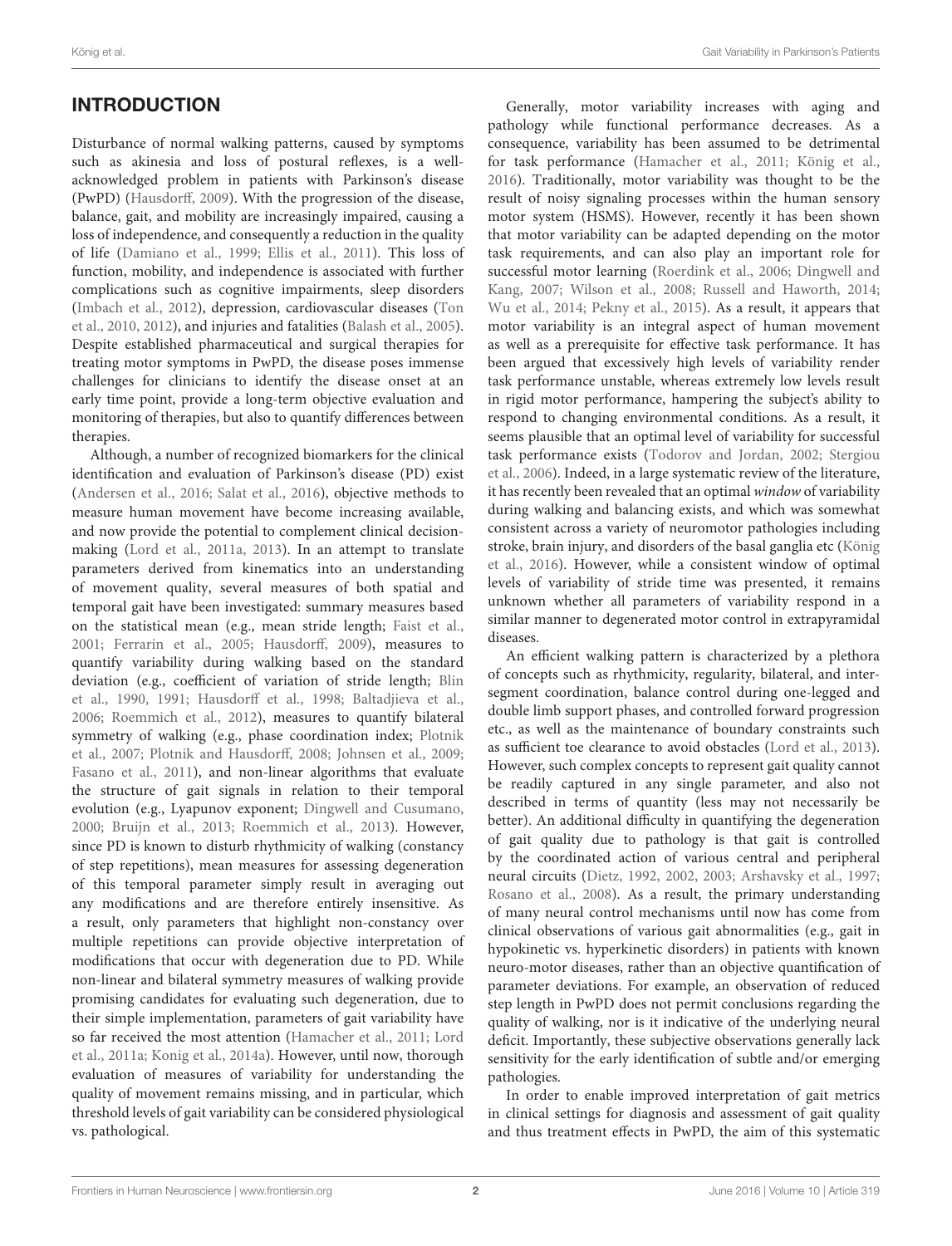## INTRODUCTION

Disturbance of normal walking patterns, caused by symptoms such as akinesia and loss of postural reflexes, is a wellacknowledged problem in patients with Parkinson's disease (PwPD) [\(Hausdorff, 2009\)](#page-7-0). With the progression of the disease, balance, gait, and mobility are increasingly impaired, causing a loss of independence, and consequently a reduction in the quality of life [\(Damiano et al., 1999;](#page-7-1) [Ellis et al., 2011\)](#page-7-2). This loss of function, mobility, and independence is associated with further complications such as cognitive impairments, sleep disorders [\(Imbach et al., 2012\)](#page-7-3), depression, cardiovascular diseases (Ton et al., [2010,](#page-8-0) [2012\)](#page-8-1), and injuries and fatalities [\(Balash et al., 2005\)](#page-7-4). Despite established pharmaceutical and surgical therapies for treating motor symptoms in PwPD, the disease poses immense challenges for clinicians to identify the disease onset at an early time point, provide a long-term objective evaluation and monitoring of therapies, but also to quantify differences between therapies.

Although, a number of recognized biomarkers for the clinical identification and evaluation of Parkinson's disease (PD) exist [\(Andersen et al., 2016;](#page-7-5) [Salat et al., 2016\)](#page-8-2), objective methods to measure human movement have become increasing available, and now provide the potential to complement clinical decisionmaking [\(Lord et al., 2011a,](#page-7-6) [2013\)](#page-7-7). In an attempt to translate parameters derived from kinematics into an understanding of movement quality, several measures of both spatial and temporal gait have been investigated: summary measures based on the statistical mean (e.g., mean stride length; [Faist et al.,](#page-7-8) [2001;](#page-7-8) [Ferrarin et al., 2005;](#page-7-9) [Hausdorff, 2009\)](#page-7-0), measures to quantify variability during walking based on the standard deviation (e.g., coefficient of variation of stride length; Blin et al., [1990,](#page-7-10) [1991;](#page-7-11) [Hausdorff et al., 1998;](#page-7-12) [Baltadjieva et al.,](#page-7-13) [2006;](#page-7-13) [Roemmich et al., 2012\)](#page-8-3), measures to quantify bilateral symmetry of walking (e.g., phase coordination index; Plotnik et al., [2007;](#page-8-4) [Plotnik and Hausdorff, 2008;](#page-8-5) [Johnsen et al., 2009;](#page-7-14) [Fasano et al., 2011\)](#page-7-15), and non-linear algorithms that evaluate the structure of gait signals in relation to their temporal evolution (e.g., Lyapunov exponent; [Dingwell and Cusumano,](#page-7-16) [2000;](#page-7-16) [Bruijn et al., 2013;](#page-7-17) [Roemmich et al., 2013\)](#page-8-6). However, since PD is known to disturb rhythmicity of walking (constancy of step repetitions), mean measures for assessing degeneration of this temporal parameter simply result in averaging out any modifications and are therefore entirely insensitive. As a result, only parameters that highlight non-constancy over multiple repetitions can provide objective interpretation of modifications that occur with degeneration due to PD. While non-linear and bilateral symmetry measures of walking provide promising candidates for evaluating such degeneration, due to their simple implementation, parameters of gait variability have so far received the most attention [\(Hamacher et al., 2011;](#page-7-18) Lord et al., [2011a;](#page-7-6) [Konig et al., 2014a\)](#page-7-19). However, until now, thorough evaluation of measures of variability for understanding the quality of movement remains missing, and in particular, which threshold levels of gait variability can be considered physiological vs. pathological.

Generally, motor variability increases with aging and pathology while functional performance decreases. As a consequence, variability has been assumed to be detrimental for task performance [\(Hamacher et al., 2011;](#page-7-18) [König et al.,](#page-7-20) [2016\)](#page-7-20). Traditionally, motor variability was thought to be the result of noisy signaling processes within the human sensory motor system (HSMS). However, recently it has been shown that motor variability can be adapted depending on the motor task requirements, and can also play an important role for successful motor learning [\(Roerdink et al., 2006;](#page-8-7) Dingwell and Kang, [2007;](#page-7-21) [Wilson et al., 2008;](#page-8-8) [Russell and Haworth, 2014;](#page-8-9) [Wu et al., 2014;](#page-8-10) [Pekny et al., 2015\)](#page-8-11). As a result, it appears that motor variability is an integral aspect of human movement as well as a prerequisite for effective task performance. It has been argued that excessively high levels of variability render task performance unstable, whereas extremely low levels result in rigid motor performance, hampering the subject's ability to respond to changing environmental conditions. As a result, it seems plausible that an optimal level of variability for successful task performance exists [\(Todorov and Jordan, 2002;](#page-8-12) Stergiou et al., [2006\)](#page-8-13). Indeed, in a large systematic review of the literature, it has recently been revealed that an optimal window of variability during walking and balancing exists, and which was somewhat consistent across a variety of neuromotor pathologies including stroke, brain injury, and disorders of the basal ganglia etc (König et al., [2016\)](#page-7-20). However, while a consistent window of optimal levels of variability of stride time was presented, it remains unknown whether all parameters of variability respond in a similar manner to degenerated motor control in extrapyramidal diseases.

An efficient walking pattern is characterized by a plethora of concepts such as rhythmicity, regularity, bilateral, and intersegment coordination, balance control during one-legged and double limb support phases, and controlled forward progression etc., as well as the maintenance of boundary constraints such as sufficient toe clearance to avoid obstacles [\(Lord et al., 2013\)](#page-7-7). However, such complex concepts to represent gait quality cannot be readily captured in any single parameter, and also not described in terms of quantity (less may not necessarily be better). An additional difficulty in quantifying the degeneration of gait quality due to pathology is that gait is controlled by the coordinated action of various central and peripheral neural circuits [\(Dietz, 1992,](#page-7-22) [2002,](#page-7-23) [2003;](#page-7-24) [Arshavsky et al., 1997;](#page-7-25) [Rosano et al., 2008\)](#page-8-14). As a result, the primary understanding of many neural control mechanisms until now has come from clinical observations of various gait abnormalities (e.g., gait in hypokinetic vs. hyperkinetic disorders) in patients with known neuro-motor diseases, rather than an objective quantification of parameter deviations. For example, an observation of reduced step length in PwPD does not permit conclusions regarding the quality of walking, nor is it indicative of the underlying neural deficit. Importantly, these subjective observations generally lack sensitivity for the early identification of subtle and/or emerging pathologies.

In order to enable improved interpretation of gait metrics in clinical settings for diagnosis and assessment of gait quality and thus treatment effects in PwPD, the aim of this systematic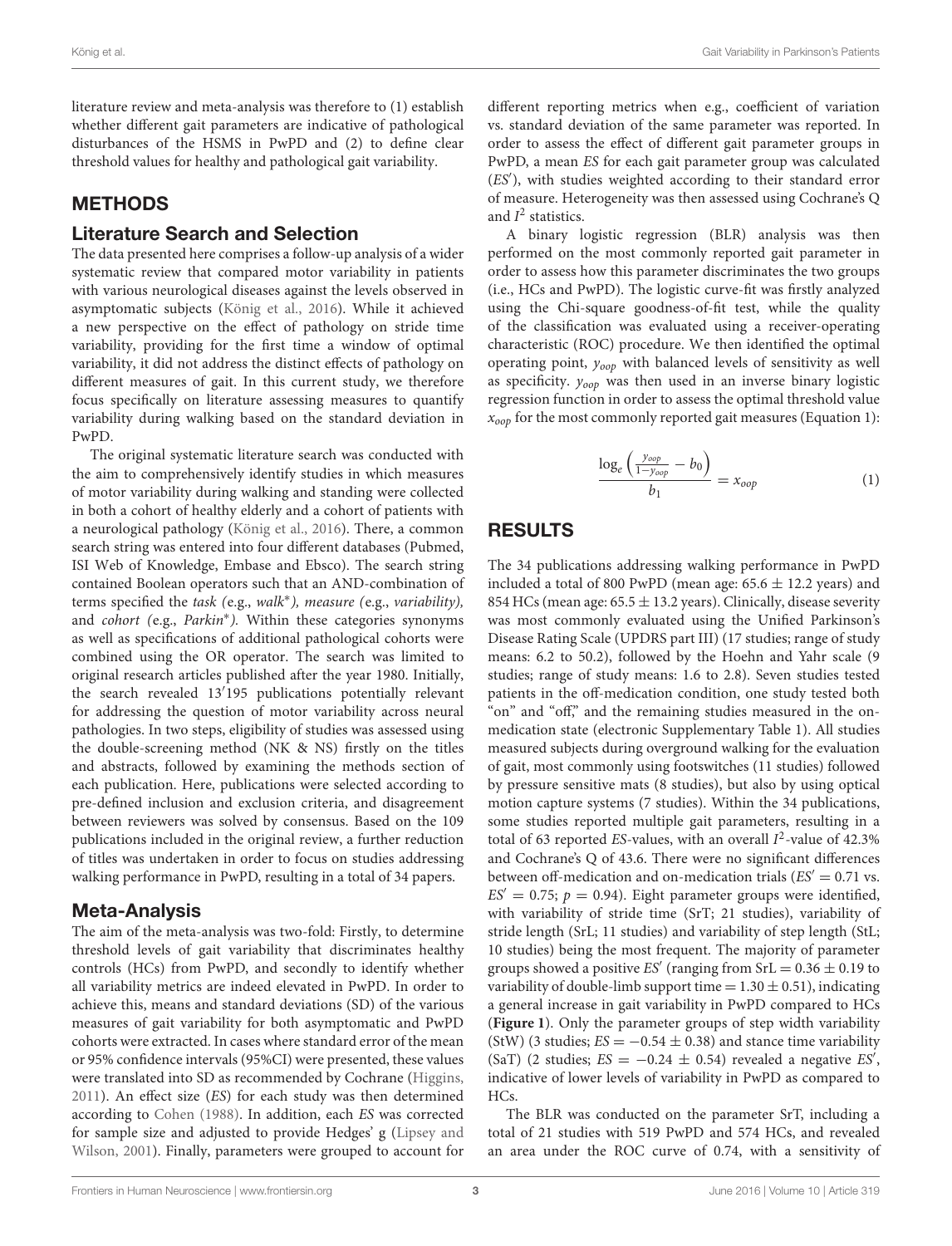literature review and meta-analysis was therefore to (1) establish whether different gait parameters are indicative of pathological disturbances of the HSMS in PwPD and (2) to define clear threshold values for healthy and pathological gait variability.

## METHODS

#### Literature Search and Selection

The data presented here comprises a follow-up analysis of a wider systematic review that compared motor variability in patients with various neurological diseases against the levels observed in asymptomatic subjects [\(König et al., 2016\)](#page-7-20). While it achieved a new perspective on the effect of pathology on stride time variability, providing for the first time a window of optimal variability, it did not address the distinct effects of pathology on different measures of gait. In this current study, we therefore focus specifically on literature assessing measures to quantify variability during walking based on the standard deviation in PwPD.

The original systematic literature search was conducted with the aim to comprehensively identify studies in which measures of motor variability during walking and standing were collected in both a cohort of healthy elderly and a cohort of patients with a neurological pathology [\(König et al., 2016\)](#page-7-20). There, a common search string was entered into four different databases (Pubmed, ISI Web of Knowledge, Embase and Ebsco). The search string contained Boolean operators such that an AND-combination of terms specified the task (e.g., walk<sup>\*</sup>), measure (e.g., variability), and cohort (e.g., Parkin<sup>\*</sup>). Within these categories synonyms as well as specifications of additional pathological cohorts were combined using the OR operator. The search was limited to original research articles published after the year 1980. Initially, the search revealed 13′ 195 publications potentially relevant for addressing the question of motor variability across neural pathologies. In two steps, eligibility of studies was assessed using the double-screening method (NK & NS) firstly on the titles and abstracts, followed by examining the methods section of each publication. Here, publications were selected according to pre-defined inclusion and exclusion criteria, and disagreement between reviewers was solved by consensus. Based on the 109 publications included in the original review, a further reduction of titles was undertaken in order to focus on studies addressing walking performance in PwPD, resulting in a total of 34 papers.

### Meta-Analysis

The aim of the meta-analysis was two-fold: Firstly, to determine threshold levels of gait variability that discriminates healthy controls (HCs) from PwPD, and secondly to identify whether all variability metrics are indeed elevated in PwPD. In order to achieve this, means and standard deviations (SD) of the various measures of gait variability for both asymptomatic and PwPD cohorts were extracted. In cases where standard error of the mean or 95% confidence intervals (95%CI) were presented, these values were translated into SD as recommended by Cochrane [\(Higgins,](#page-7-26) [2011\)](#page-7-26). An effect size (ES) for each study was then determined according to [Cohen \(1988\)](#page-7-27). In addition, each ES was corrected for sample size and adjusted to provide Hedges' g (Lipsey and Wilson, [2001\)](#page-7-28). Finally, parameters were grouped to account for different reporting metrics when e.g., coefficient of variation vs. standard deviation of the same parameter was reported. In order to assess the effect of different gait parameter groups in PwPD, a mean ES for each gait parameter group was calculated (ES′ ), with studies weighted according to their standard error of measure. Heterogeneity was then assessed using Cochrane's Q and  $I^2$  statistics.

A binary logistic regression (BLR) analysis was then performed on the most commonly reported gait parameter in order to assess how this parameter discriminates the two groups (i.e., HCs and PwPD). The logistic curve-fit was firstly analyzed using the Chi-square goodness-of-fit test, while the quality of the classification was evaluated using a receiver-operating characteristic (ROC) procedure. We then identified the optimal operating point, yoop with balanced levels of sensitivity as well as specificity.  $y_{oop}$  was then used in an inverse binary logistic regression function in order to assess the optimal threshold value  $x_{oop}$  for the most commonly reported gait measures (Equation 1):

$$
\frac{\log_e \left( \frac{y_{oop}}{1 - y_{oop}} - b_0 \right)}{b_1} = x_{oop} \tag{1}
$$

## RESULTS

The 34 publications addressing walking performance in PwPD included a total of 800 PwPD (mean age:  $65.6 \pm 12.2$  years) and 854 HCs (mean age:  $65.5 \pm 13.2$  years). Clinically, disease severity was most commonly evaluated using the Unified Parkinson's Disease Rating Scale (UPDRS part III) (17 studies; range of study means: 6.2 to 50.2), followed by the Hoehn and Yahr scale (9 studies; range of study means: 1.6 to 2.8). Seven studies tested patients in the off-medication condition, one study tested both "on" and "off," and the remaining studies measured in the onmedication state (electronic Supplementary Table 1). All studies measured subjects during overground walking for the evaluation of gait, most commonly using footswitches (11 studies) followed by pressure sensitive mats (8 studies), but also by using optical motion capture systems (7 studies). Within the 34 publications, some studies reported multiple gait parameters, resulting in a total of 63 reported ES-values, with an overall  $I^2$ -value of 42.3% and Cochrane's Q of 43.6. There were no significant differences between off-medication and on-medication trials ( $ES' = 0.71$  vs.  $ES' = 0.75$ ;  $p = 0.94$ ). Eight parameter groups were identified, with variability of stride time (SrT; 21 studies), variability of stride length (SrL; 11 studies) and variability of step length (StL; 10 studies) being the most frequent. The majority of parameter groups showed a positive ES' (ranging from  $SrL = 0.36 \pm 0.19$  to variability of double-limb support time  $= 1.30 \pm 0.51$ ), indicating a general increase in gait variability in PwPD compared to HCs (**[Figure 1](#page-5-0)**). Only the parameter groups of step width variability (StW) (3 studies;  $ES = -0.54 \pm 0.38$ ) and stance time variability (SaT) (2 studies;  $ES = -0.24 \pm 0.54$ ) revealed a negative  $ES'$ , indicative of lower levels of variability in PwPD as compared to HCs.

The BLR was conducted on the parameter SrT, including a total of 21 studies with 519 PwPD and 574 HCs, and revealed an area under the ROC curve of 0.74, with a sensitivity of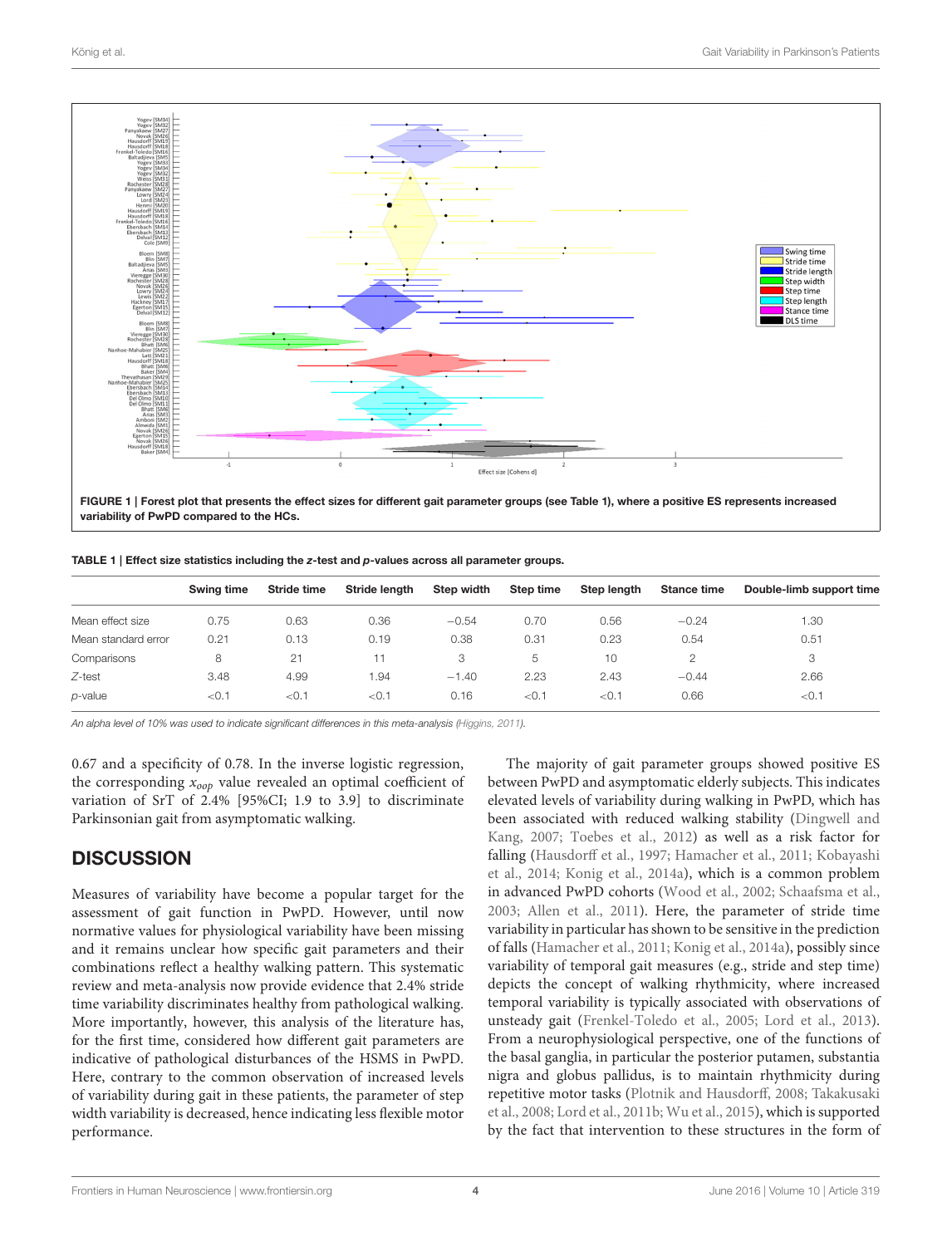

<span id="page-5-0"></span>variability of PwPD compared to the HCs.

<span id="page-5-1"></span>

| TABLE 1   Effect size statistics including the z-test and p-values across all parameter groups. |  |  |
|-------------------------------------------------------------------------------------------------|--|--|
|-------------------------------------------------------------------------------------------------|--|--|

|                     | Swing time | Stride time | Stride lenath | Step width | Step time | Step length | <b>Stance time</b> | Double-limb support time |
|---------------------|------------|-------------|---------------|------------|-----------|-------------|--------------------|--------------------------|
| Mean effect size    | 0.75       | 0.63        | 0.36          | $-0.54$    | 0.70      | 0.56        | $-0.24$            | 1.30                     |
| Mean standard error | 0.21       | 0.13        | 0.19          | 0.38       | 0.31      | 0.23        | 0.54               | 0.51                     |
| Comparisons         | 8          | 21          |               | 3          | 5         | 10          |                    | 3                        |
| $Z$ -test           | 3.48       | 4.99        | .94           | $-1.40$    | 2.23      | 2.43        | $-0.44$            | 2.66                     |
| p-value             | ${<}0.1$   | < 0.1       | < 0.1         | 0.16       | < 0.1     | < 0.1       | 0.66               | < 0.1                    |

An alpha level of 10% was used to indicate significant differences in this meta-analysis [\(Higgins, 2011\)](#page-7-26).

0.67 and a specificity of 0.78. In the inverse logistic regression, the corresponding  $x_{oop}$  value revealed an optimal coefficient of variation of SrT of 2.4% [95%CI; 1.9 to 3.9] to discriminate Parkinsonian gait from asymptomatic walking.

#### **DISCUSSION**

Measures of variability have become a popular target for the assessment of gait function in PwPD. However, until now normative values for physiological variability have been missing and it remains unclear how specific gait parameters and their combinations reflect a healthy walking pattern. This systematic review and meta-analysis now provide evidence that 2.4% stride time variability discriminates healthy from pathological walking. More importantly, however, this analysis of the literature has, for the first time, considered how different gait parameters are indicative of pathological disturbances of the HSMS in PwPD. Here, contrary to the common observation of increased levels of variability during gait in these patients, the parameter of step width variability is decreased, hence indicating less flexible motor performance.

The majority of gait parameter groups showed positive ES between PwPD and asymptomatic elderly subjects. This indicates elevated levels of variability during walking in PwPD, which has been associated with reduced walking stability (Dingwell and Kang, [2007;](#page-7-21) [Toebes et al., 2012\)](#page-8-15) as well as a risk factor for falling [\(Hausdorff et al., 1997;](#page-7-29) [Hamacher et al., 2011;](#page-7-18) Kobayashi et al., [2014;](#page-7-30) [Konig et al., 2014a\)](#page-7-19), which is a common problem in advanced PwPD cohorts [\(Wood et al., 2002;](#page-8-16) [Schaafsma et al.,](#page-8-17) [2003;](#page-8-17) [Allen et al., 2011\)](#page-7-31). Here, the parameter of stride time variability in particular has shown to be sensitive in the prediction of falls [\(Hamacher et al., 2011;](#page-7-18) [Konig et al., 2014a\)](#page-7-19), possibly since variability of temporal gait measures (e.g., stride and step time) depicts the concept of walking rhythmicity, where increased temporal variability is typically associated with observations of unsteady gait [\(Frenkel-Toledo et al., 2005;](#page-7-32) [Lord et al., 2013\)](#page-7-7). From a neurophysiological perspective, one of the functions of the basal ganglia, in particular the posterior putamen, substantia nigra and globus pallidus, is to maintain rhythmicity during repetitive motor tasks [\(Plotnik and Hausdorff, 2008;](#page-8-5) Takakusaki et al., [2008;](#page-8-18) [Lord et al., 2011b;](#page-7-33) [Wu et al., 2015\)](#page-8-19), which is supported by the fact that intervention to these structures in the form of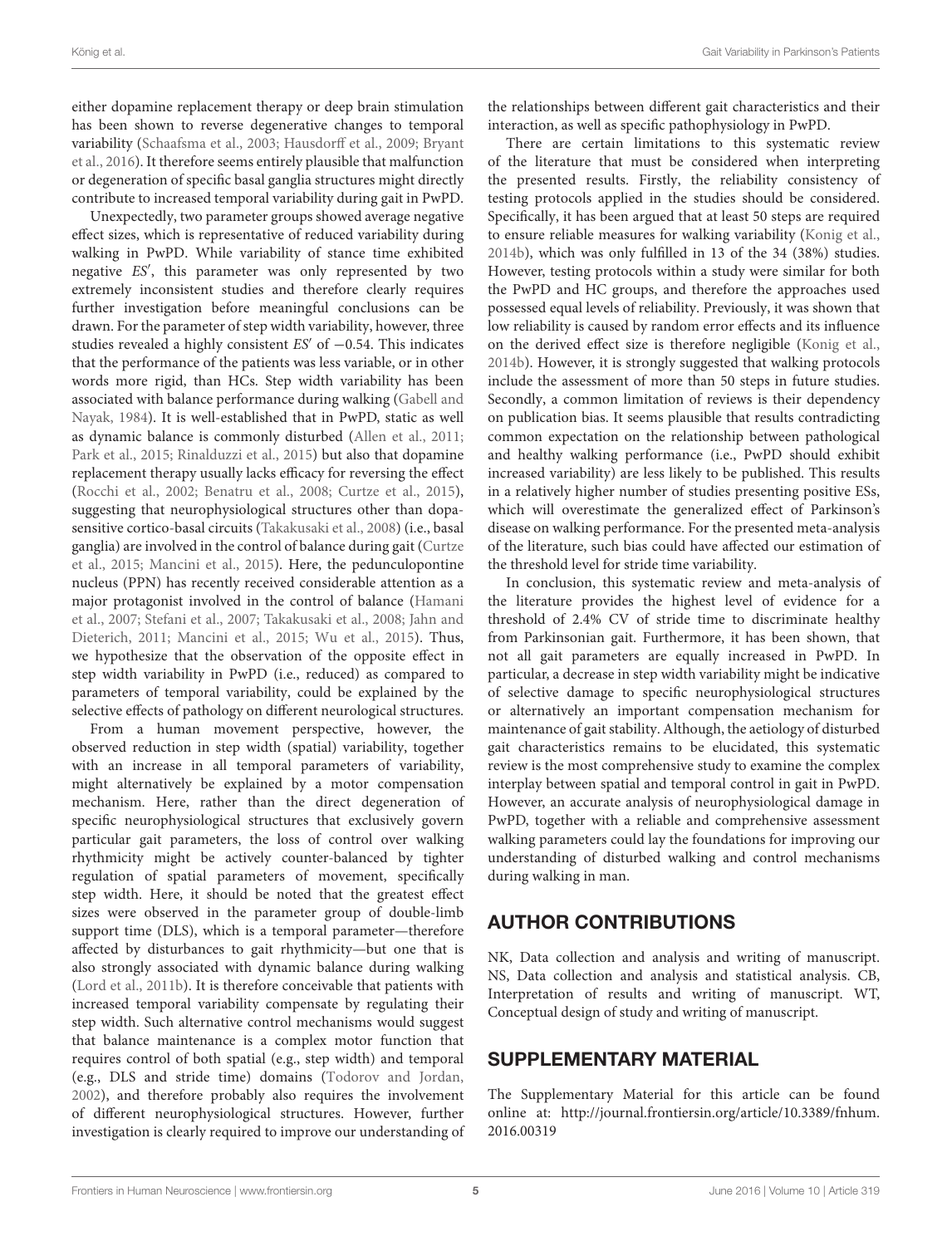either dopamine replacement therapy or deep brain stimulation has been shown to reverse degenerative changes to temporal variability [\(Schaafsma et al., 2003;](#page-8-17) [Hausdorff et al., 2009;](#page-7-34) Bryant et al., [2016\)](#page-7-35). It therefore seems entirely plausible that malfunction or degeneration of specific basal ganglia structures might directly contribute to increased temporal variability during gait in PwPD.

Unexpectedly, two parameter groups showed average negative effect sizes, which is representative of reduced variability during walking in PwPD. While variability of stance time exhibited negative ES′ , this parameter was only represented by two extremely inconsistent studies and therefore clearly requires further investigation before meaningful conclusions can be drawn. For the parameter of step width variability, however, three studies revealed a highly consistent  $ES'$  of  $-0.54$ . This indicates that the performance of the patients was less variable, or in other words more rigid, than HCs. Step width variability has been associated with balance performance during walking (Gabell and Nayak, [1984\)](#page-7-36). It is well-established that in PwPD, static as well as dynamic balance is commonly disturbed [\(Allen et al., 2011;](#page-7-31) [Park et al., 2015;](#page-8-20) [Rinalduzzi et al., 2015\)](#page-8-21) but also that dopamine replacement therapy usually lacks efficacy for reversing the effect [\(Rocchi et al., 2002;](#page-8-22) [Benatru et al., 2008;](#page-7-37) [Curtze et al., 2015\)](#page-7-38), suggesting that neurophysiological structures other than dopasensitive cortico-basal circuits [\(Takakusaki et al., 2008\)](#page-8-18) (i.e., basal ganglia) are involved in the control of balance during gait (Curtze et al., [2015;](#page-7-38) [Mancini et al., 2015\)](#page-8-23). Here, the pedunculopontine nucleus (PPN) has recently received considerable attention as a major protagonist involved in the control of balance (Hamani et al., [2007;](#page-7-39) [Stefani et al., 2007;](#page-8-24) [Takakusaki et al., 2008;](#page-8-18) Jahn and Dieterich, [2011;](#page-7-40) [Mancini et al., 2015;](#page-8-23) [Wu et al., 2015\)](#page-8-19). Thus, we hypothesize that the observation of the opposite effect in step width variability in PwPD (i.e., reduced) as compared to parameters of temporal variability, could be explained by the selective effects of pathology on different neurological structures.

From a human movement perspective, however, the observed reduction in step width (spatial) variability, together with an increase in all temporal parameters of variability, might alternatively be explained by a motor compensation mechanism. Here, rather than the direct degeneration of specific neurophysiological structures that exclusively govern particular gait parameters, the loss of control over walking rhythmicity might be actively counter-balanced by tighter regulation of spatial parameters of movement, specifically step width. Here, it should be noted that the greatest effect sizes were observed in the parameter group of double-limb support time (DLS), which is a temporal parameter—therefore affected by disturbances to gait rhythmicity—but one that is also strongly associated with dynamic balance during walking [\(Lord et al., 2011b\)](#page-7-33). It is therefore conceivable that patients with increased temporal variability compensate by regulating their step width. Such alternative control mechanisms would suggest that balance maintenance is a complex motor function that requires control of both spatial (e.g., step width) and temporal (e.g., DLS and stride time) domains [\(Todorov and Jordan,](#page-8-12) [2002\)](#page-8-12), and therefore probably also requires the involvement of different neurophysiological structures. However, further investigation is clearly required to improve our understanding of the relationships between different gait characteristics and their interaction, as well as specific pathophysiology in PwPD.

There are certain limitations to this systematic review of the literature that must be considered when interpreting the presented results. Firstly, the reliability consistency of testing protocols applied in the studies should be considered. Specifically, it has been argued that at least 50 steps are required to ensure reliable measures for walking variability [\(Konig et al.,](#page-7-41) [2014b\)](#page-7-41), which was only fulfilled in 13 of the 34 (38%) studies. However, testing protocols within a study were similar for both the PwPD and HC groups, and therefore the approaches used possessed equal levels of reliability. Previously, it was shown that low reliability is caused by random error effects and its influence on the derived effect size is therefore negligible [\(Konig et al.,](#page-7-41) [2014b\)](#page-7-41). However, it is strongly suggested that walking protocols include the assessment of more than 50 steps in future studies. Secondly, a common limitation of reviews is their dependency on publication bias. It seems plausible that results contradicting common expectation on the relationship between pathological and healthy walking performance (i.e., PwPD should exhibit increased variability) are less likely to be published. This results in a relatively higher number of studies presenting positive ESs, which will overestimate the generalized effect of Parkinson's disease on walking performance. For the presented meta-analysis of the literature, such bias could have affected our estimation of the threshold level for stride time variability.

In conclusion, this systematic review and meta-analysis of the literature provides the highest level of evidence for a threshold of 2.4% CV of stride time to discriminate healthy from Parkinsonian gait. Furthermore, it has been shown, that not all gait parameters are equally increased in PwPD. In particular, a decrease in step width variability might be indicative of selective damage to specific neurophysiological structures or alternatively an important compensation mechanism for maintenance of gait stability. Although, the aetiology of disturbed gait characteristics remains to be elucidated, this systematic review is the most comprehensive study to examine the complex interplay between spatial and temporal control in gait in PwPD. However, an accurate analysis of neurophysiological damage in PwPD, together with a reliable and comprehensive assessment walking parameters could lay the foundations for improving our understanding of disturbed walking and control mechanisms during walking in man.

## AUTHOR CONTRIBUTIONS

NK, Data collection and analysis and writing of manuscript. NS, Data collection and analysis and statistical analysis. CB, Interpretation of results and writing of manuscript. WT, Conceptual design of study and writing of manuscript.

### SUPPLEMENTARY MATERIAL

The Supplementary Material for this article can be found [online at: http://journal.frontiersin.org/article/10.3389/fnhum.](http://journal.frontiersin.org/article/10.3389/fnhum.2016.00319) 2016.00319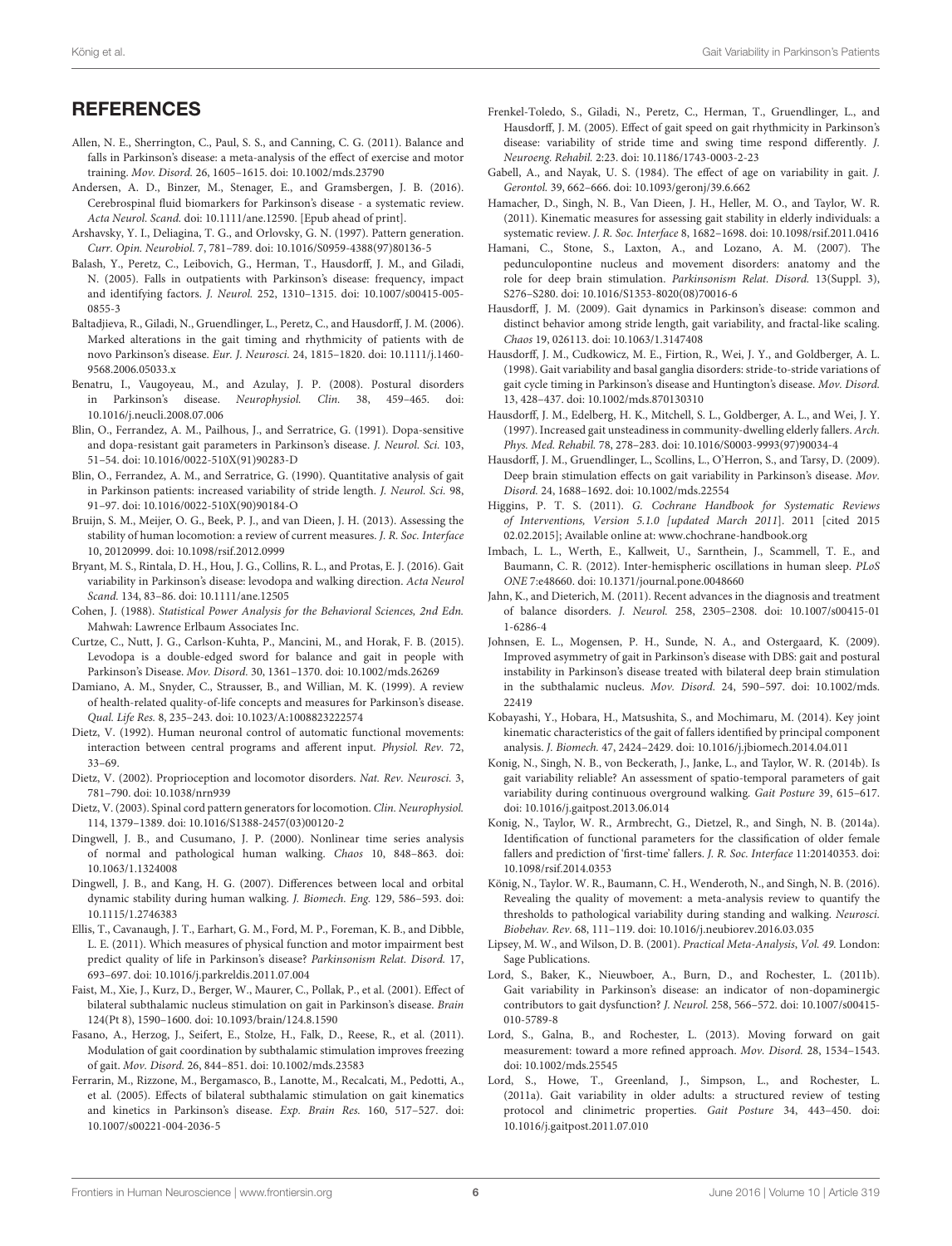### **REFERENCES**

- <span id="page-7-31"></span>Allen, N. E., Sherrington, C., Paul, S. S., and Canning, C. G. (2011). Balance and falls in Parkinson's disease: a meta-analysis of the effect of exercise and motor training. Mov. Disord. 26, 1605–1615. doi: 10.1002/mds.23790
- <span id="page-7-5"></span>Andersen, A. D., Binzer, M., Stenager, E., and Gramsbergen, J. B. (2016). Cerebrospinal fluid biomarkers for Parkinson's disease - a systematic review. Acta Neurol. Scand. doi: 10.1111/ane.12590. [Epub ahead of print].
- <span id="page-7-25"></span>Arshavsky, Y. I., Deliagina, T. G., and Orlovsky, G. N. (1997). Pattern generation. Curr. Opin. Neurobiol. 7, 781–789. doi: 10.1016/S0959-4388(97)80136-5
- <span id="page-7-4"></span>Balash, Y., Peretz, C., Leibovich, G., Herman, T., Hausdorff, J. M., and Giladi, N. (2005). Falls in outpatients with Parkinson's disease: frequency, impact and identifying factors. J. Neurol. 252, 1310–1315. doi: 10.1007/s00415-005- 0855-3
- <span id="page-7-13"></span>Baltadjieva, R., Giladi, N., Gruendlinger, L., Peretz, C., and Hausdorff, J. M. (2006). Marked alterations in the gait timing and rhythmicity of patients with de novo Parkinson's disease. Eur. J. Neurosci. 24, 1815–1820. doi: 10.1111/j.1460- 9568.2006.05033.x
- <span id="page-7-37"></span>Benatru, I., Vaugoyeau, M., and Azulay, J. P. (2008). Postural disorders in Parkinson's disease. Neurophysiol. Clin. 38, 459–465. doi: 10.1016/j.neucli.2008.07.006
- <span id="page-7-11"></span>Blin, O., Ferrandez, A. M., Pailhous, J., and Serratrice, G. (1991). Dopa-sensitive and dopa-resistant gait parameters in Parkinson's disease. J. Neurol. Sci. 103, 51–54. doi: 10.1016/0022-510X(91)90283-D
- <span id="page-7-10"></span>Blin, O., Ferrandez, A. M., and Serratrice, G. (1990). Quantitative analysis of gait in Parkinson patients: increased variability of stride length. J. Neurol. Sci. 98, 91–97. doi: 10.1016/0022-510X(90)90184-O
- <span id="page-7-17"></span>Bruijn, S. M., Meijer, O. G., Beek, P. J., and van Dieen, J. H. (2013). Assessing the stability of human locomotion: a review of current measures. J. R. Soc. Interface 10, 20120999. doi: 10.1098/rsif.2012.0999
- <span id="page-7-35"></span>Bryant, M. S., Rintala, D. H., Hou, J. G., Collins, R. L., and Protas, E. J. (2016). Gait variability in Parkinson's disease: levodopa and walking direction. Acta Neurol Scand. 134, 83–86. doi: 10.1111/ane.12505
- <span id="page-7-27"></span>Cohen, J. (1988). Statistical Power Analysis for the Behavioral Sciences, 2nd Edn. Mahwah: Lawrence Erlbaum Associates Inc.
- <span id="page-7-38"></span>Curtze, C., Nutt, J. G., Carlson-Kuhta, P., Mancini, M., and Horak, F. B. (2015). Levodopa is a double-edged sword for balance and gait in people with Parkinson's Disease. Mov. Disord. 30, 1361–1370. doi: 10.1002/mds.26269
- <span id="page-7-1"></span>Damiano, A. M., Snyder, C., Strausser, B., and Willian, M. K. (1999). A review of health-related quality-of-life concepts and measures for Parkinson's disease. Qual. Life Res. 8, 235–243. doi: 10.1023/A:1008823222574
- <span id="page-7-22"></span>Dietz, V. (1992). Human neuronal control of automatic functional movements: interaction between central programs and afferent input. Physiol. Rev. 72, 33–69.
- <span id="page-7-23"></span>Dietz, V. (2002). Proprioception and locomotor disorders. Nat. Rev. Neurosci. 3, 781–790. doi: 10.1038/nrn939
- <span id="page-7-24"></span>Dietz, V. (2003). Spinal cord pattern generators for locomotion. Clin. Neurophysiol. 114, 1379–1389. doi: 10.1016/S1388-2457(03)00120-2
- <span id="page-7-16"></span>Dingwell, J. B., and Cusumano, J. P. (2000). Nonlinear time series analysis of normal and pathological human walking. Chaos 10, 848–863. doi: 10.1063/1.1324008
- <span id="page-7-21"></span>Dingwell, J. B., and Kang, H. G. (2007). Differences between local and orbital dynamic stability during human walking. J. Biomech. Eng. 129, 586–593. doi: 10.1115/1.2746383
- <span id="page-7-2"></span>Ellis, T., Cavanaugh, J. T., Earhart, G. M., Ford, M. P., Foreman, K. B., and Dibble, L. E. (2011). Which measures of physical function and motor impairment best predict quality of life in Parkinson's disease? Parkinsonism Relat. Disord. 17, 693–697. doi: 10.1016/j.parkreldis.2011.07.004
- <span id="page-7-8"></span>Faist, M., Xie, J., Kurz, D., Berger, W., Maurer, C., Pollak, P., et al. (2001). Effect of bilateral subthalamic nucleus stimulation on gait in Parkinson's disease. Brain 124(Pt 8), 1590–1600. doi: 10.1093/brain/124.8.1590
- <span id="page-7-15"></span>Fasano, A., Herzog, J., Seifert, E., Stolze, H., Falk, D., Reese, R., et al. (2011). Modulation of gait coordination by subthalamic stimulation improves freezing of gait. Mov. Disord. 26, 844–851. doi: 10.1002/mds.23583
- <span id="page-7-9"></span>Ferrarin, M., Rizzone, M., Bergamasco, B., Lanotte, M., Recalcati, M., Pedotti, A., et al. (2005). Effects of bilateral subthalamic stimulation on gait kinematics and kinetics in Parkinson's disease. Exp. Brain Res. 160, 517–527. doi: 10.1007/s00221-004-2036-5
- <span id="page-7-32"></span>Frenkel-Toledo, S., Giladi, N., Peretz, C., Herman, T., Gruendlinger, L., and Hausdorff, J. M. (2005). Effect of gait speed on gait rhythmicity in Parkinson's disease: variability of stride time and swing time respond differently. J. Neuroeng. Rehabil. 2:23. doi: 10.1186/1743-0003-2-23
- <span id="page-7-36"></span>Gabell, A., and Nayak, U. S. (1984). The effect of age on variability in gait. J. Gerontol. 39, 662–666. doi: 10.1093/geronj/39.6.662
- <span id="page-7-18"></span>Hamacher, D., Singh, N. B., Van Dieen, J. H., Heller, M. O., and Taylor, W. R. (2011). Kinematic measures for assessing gait stability in elderly individuals: a systematic review. J. R. Soc. Interface 8, 1682–1698. doi: 10.1098/rsif.2011.0416
- <span id="page-7-39"></span>Hamani, C., Stone, S., Laxton, A., and Lozano, A. M. (2007). The pedunculopontine nucleus and movement disorders: anatomy and the role for deep brain stimulation. Parkinsonism Relat. Disord. 13(Suppl. 3), S276–S280. doi: 10.1016/S1353-8020(08)70016-6
- <span id="page-7-0"></span>Hausdorff, J. M. (2009). Gait dynamics in Parkinson's disease: common and distinct behavior among stride length, gait variability, and fractal-like scaling. Chaos 19, 026113. doi: 10.1063/1.3147408
- <span id="page-7-12"></span>Hausdorff, J. M., Cudkowicz, M. E., Firtion, R., Wei, J. Y., and Goldberger, A. L. (1998). Gait variability and basal ganglia disorders: stride-to-stride variations of gait cycle timing in Parkinson's disease and Huntington's disease. Mov. Disord. 13, 428–437. doi: 10.1002/mds.870130310
- <span id="page-7-29"></span>Hausdorff, J. M., Edelberg, H. K., Mitchell, S. L., Goldberger, A. L., and Wei, J. Y. (1997). Increased gait unsteadiness in community-dwelling elderly fallers. Arch. Phys. Med. Rehabil. 78, 278–283. doi: 10.1016/S0003-9993(97)90034-4
- <span id="page-7-34"></span>Hausdorff, J. M., Gruendlinger, L., Scollins, L., O'Herron, S., and Tarsy, D. (2009). Deep brain stimulation effects on gait variability in Parkinson's disease. Mov. Disord. 24, 1688–1692. doi: 10.1002/mds.22554
- <span id="page-7-26"></span>Higgins, P. T. S. (2011). G. Cochrane Handbook for Systematic Reviews of Interventions, Version 5.1.0 [updated March 2011]. 2011 [cited 2015 02.02.2015]; Available online at: [www.chochrane-handbook.org](http://www.chochrane-handbook.org)
- <span id="page-7-3"></span>Imbach, L. L., Werth, E., Kallweit, U., Sarnthein, J., Scammell, T. E., and Baumann, C. R. (2012). Inter-hemispheric oscillations in human sleep. PLoS ONE 7:e48660. doi: 10.1371/journal.pone.0048660
- <span id="page-7-40"></span>Jahn, K., and Dieterich, M. (2011). Recent advances in the diagnosis and treatment of balance disorders. J. Neurol. 258, 2305–2308. doi: 10.1007/s00415-01 1-6286-4
- <span id="page-7-14"></span>Johnsen, E. L., Mogensen, P. H., Sunde, N. A., and Ostergaard, K. (2009). Improved asymmetry of gait in Parkinson's disease with DBS: gait and postural instability in Parkinson's disease treated with bilateral deep brain stimulation in the subthalamic nucleus. Mov. Disord. 24, 590–597. doi: 10.1002/mds. 22419
- <span id="page-7-30"></span>Kobayashi, Y., Hobara, H., Matsushita, S., and Mochimaru, M. (2014). Key joint kinematic characteristics of the gait of fallers identified by principal component analysis. J. Biomech. 47, 2424–2429. doi: 10.1016/j.jbiomech.2014.04.011
- <span id="page-7-41"></span>Konig, N., Singh, N. B., von Beckerath, J., Janke, L., and Taylor, W. R. (2014b). Is gait variability reliable? An assessment of spatio-temporal parameters of gait variability during continuous overground walking. Gait Posture 39, 615–617. doi: 10.1016/j.gaitpost.2013.06.014
- <span id="page-7-19"></span>Konig, N., Taylor, W. R., Armbrecht, G., Dietzel, R., and Singh, N. B. (2014a). Identification of functional parameters for the classification of older female fallers and prediction of 'first-time' fallers. J. R. Soc. Interface 11:20140353. doi: 10.1098/rsif.2014.0353
- <span id="page-7-20"></span>König, N., Taylor. W. R., Baumann, C. H., Wenderoth, N., and Singh, N. B. (2016). Revealing the quality of movement: a meta-analysis review to quantify the thresholds to pathological variability during standing and walking. Neurosci. Biobehav. Rev. 68, 111–119. doi: 10.1016/j.neubiorev.2016.03.035
- <span id="page-7-28"></span>Lipsey, M. W., and Wilson, D. B. (2001). Practical Meta-Analysis, Vol. 49. London: Sage Publications.
- <span id="page-7-33"></span>Lord, S., Baker, K., Nieuwboer, A., Burn, D., and Rochester, L. (2011b). Gait variability in Parkinson's disease: an indicator of non-dopaminergic contributors to gait dysfunction? J. Neurol. 258, 566–572. doi: 10.1007/s00415- 010-5789-8
- <span id="page-7-7"></span>Lord, S., Galna, B., and Rochester, L. (2013). Moving forward on gait measurement: toward a more refined approach. Mov. Disord. 28, 1534–1543. doi: 10.1002/mds.25545
- <span id="page-7-6"></span>Lord, S., Howe, T., Greenland, J., Simpson, L., and Rochester, L. (2011a). Gait variability in older adults: a structured review of testing protocol and clinimetric properties. Gait Posture 34, 443–450. doi: 10.1016/j.gaitpost.2011.07.010